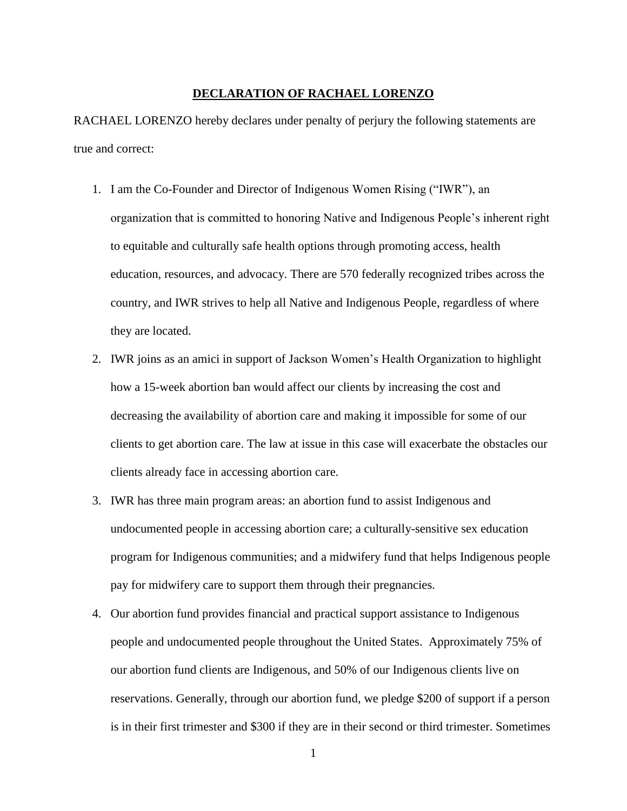## **DECLARATION OF RACHAEL LORENZO**

RACHAEL LORENZO hereby declares under penalty of perjury the following statements are true and correct:

- 1. I am the Co-Founder and Director of Indigenous Women Rising ("IWR"), an organization that is committed to honoring Native and Indigenous People's inherent right to equitable and culturally safe health options through promoting access, health education, resources, and advocacy. There are 570 federally recognized tribes across the country, and IWR strives to help all Native and Indigenous People, regardless of where they are located.
- 2. IWR joins as an amici in support of Jackson Women's Health Organization to highlight how a 15-week abortion ban would affect our clients by increasing the cost and decreasing the availability of abortion care and making it impossible for some of our clients to get abortion care. The law at issue in this case will exacerbate the obstacles our clients already face in accessing abortion care.
- 3. IWR has three main program areas: an abortion fund to assist Indigenous and undocumented people in accessing abortion care; a culturally-sensitive sex education program for Indigenous communities; and a midwifery fund that helps Indigenous people pay for midwifery care to support them through their pregnancies.
- 4. Our abortion fund provides financial and practical support assistance to Indigenous people and undocumented people throughout the United States. Approximately 75% of our abortion fund clients are Indigenous, and 50% of our Indigenous clients live on reservations. Generally, through our abortion fund, we pledge \$200 of support if a person is in their first trimester and \$300 if they are in their second or third trimester. Sometimes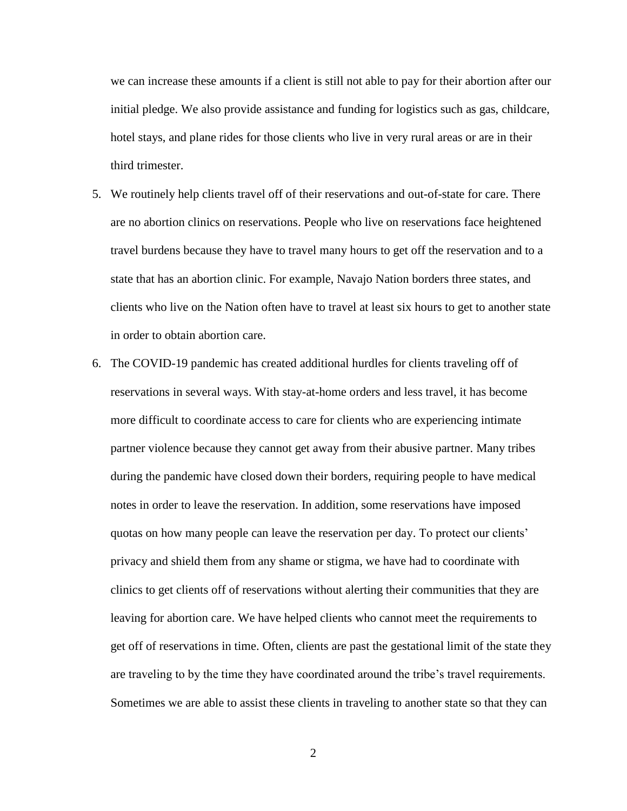we can increase these amounts if a client is still not able to pay for their abortion after our initial pledge. We also provide assistance and funding for logistics such as gas, childcare, hotel stays, and plane rides for those clients who live in very rural areas or are in their third trimester.

- 5. We routinely help clients travel off of their reservations and out-of-state for care. There are no abortion clinics on reservations. People who live on reservations face heightened travel burdens because they have to travel many hours to get off the reservation and to a state that has an abortion clinic. For example, Navajo Nation borders three states, and clients who live on the Nation often have to travel at least six hours to get to another state in order to obtain abortion care.
- 6. The COVID-19 pandemic has created additional hurdles for clients traveling off of reservations in several ways. With stay-at-home orders and less travel, it has become more difficult to coordinate access to care for clients who are experiencing intimate partner violence because they cannot get away from their abusive partner. Many tribes during the pandemic have closed down their borders, requiring people to have medical notes in order to leave the reservation. In addition, some reservations have imposed quotas on how many people can leave the reservation per day. To protect our clients' privacy and shield them from any shame or stigma, we have had to coordinate with clinics to get clients off of reservations without alerting their communities that they are leaving for abortion care. We have helped clients who cannot meet the requirements to get off of reservations in time. Often, clients are past the gestational limit of the state they are traveling to by the time they have coordinated around the tribe's travel requirements. Sometimes we are able to assist these clients in traveling to another state so that they can

2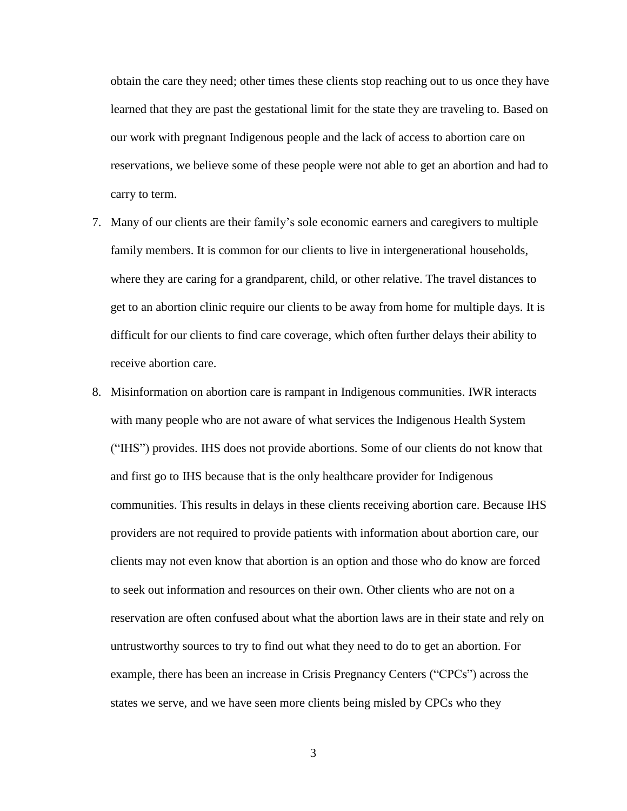obtain the care they need; other times these clients stop reaching out to us once they have learned that they are past the gestational limit for the state they are traveling to. Based on our work with pregnant Indigenous people and the lack of access to abortion care on reservations, we believe some of these people were not able to get an abortion and had to carry to term.

- 7. Many of our clients are their family's sole economic earners and caregivers to multiple family members. It is common for our clients to live in intergenerational households, where they are caring for a grandparent, child, or other relative. The travel distances to get to an abortion clinic require our clients to be away from home for multiple days. It is difficult for our clients to find care coverage, which often further delays their ability to receive abortion care.
- 8. Misinformation on abortion care is rampant in Indigenous communities. IWR interacts with many people who are not aware of what services the Indigenous Health System ("IHS") provides. IHS does not provide abortions. Some of our clients do not know that and first go to IHS because that is the only healthcare provider for Indigenous communities. This results in delays in these clients receiving abortion care. Because IHS providers are not required to provide patients with information about abortion care, our clients may not even know that abortion is an option and those who do know are forced to seek out information and resources on their own. Other clients who are not on a reservation are often confused about what the abortion laws are in their state and rely on untrustworthy sources to try to find out what they need to do to get an abortion. For example, there has been an increase in Crisis Pregnancy Centers ("CPCs") across the states we serve, and we have seen more clients being misled by CPCs who they

3